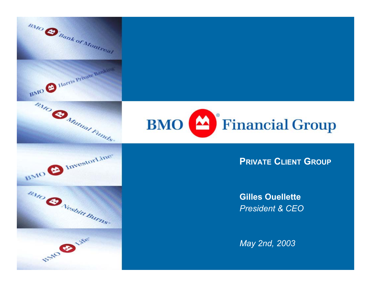



### **PRIVATE CLIENT GROUP**

**Gilles Ouellette***President & CEO*

*May 2nd, 2003*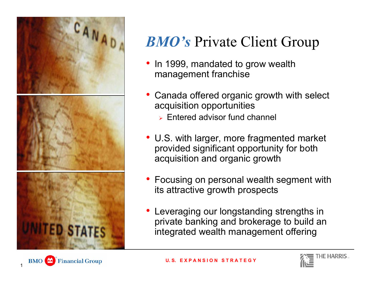

## *BMO's* Private Client Group

- In 1999, mandated to grow wealth management franchise
- Canada offered organic growth with select acquisition opportunities
	- $\triangleright$  Entered advisor fund channel
- U.S. with larger, more fragmented market provided significant opportunity for both acquisition and organic growth
- Focusing on personal wealth segment with its attractive growth prospects
- Leveraging our longstanding strengths in private banking and brokerage to build an integrated wealth management offering





BMO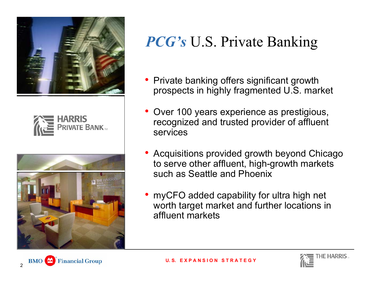





**Financial Group** 

## *PCG's* U.S. Private Banking

- Private banking offers significant growth prospects in highly fragmented U.S. market
- Over 100 years experience as prestigious, recognized and trusted provider of affluent services
- Acquisitions provided growth beyond Chicago to serve other affluent, high-growth markets such as Seattle and Phoenix
- myCFO added capability for ultra high net worth target market and further locations in affluent markets

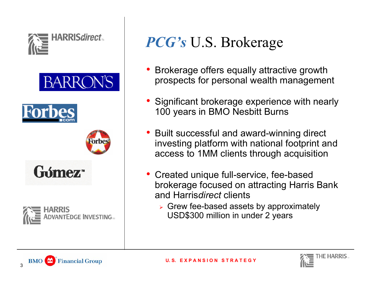











# *PCG's* U.S. Brokerage

- • Brokerage offers equally attractive growth prospects for personal wealth management
- Significant brokerage experience with nearly 100 years in BMO Nesbitt Burns
- Built successful and award-winning direct inv esting platform with national footprint and access to 1MM clients through acquisition
- Created unique full-service, fee-based brokerage focused on attracting Harris Bank and Harris*direct* clients
	- ¾ Grew fee-based assets by approximately USD\$300 million in under 2 years



3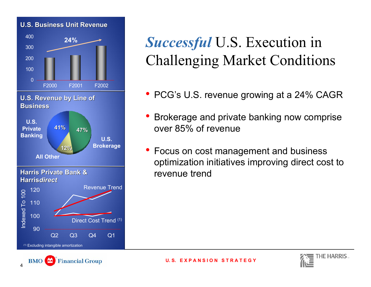### **U.S. Business Unit Revenue S. Business Unit Revenue**



(1) Excluding intangible amortization

4

#### **Financial Group BMO**

## *Successful* U.S. Execution in Challenging Market Conditions

- PCG's U.S. revenue growing at a 24% CAGR
- • Brokerage and private banking now comprise over 85% of revenue
- Focus on cost management and business optimization initiatives improving direct cost to revenue trend



**U. S. E X P A N S I O N S T R A T E G Y**